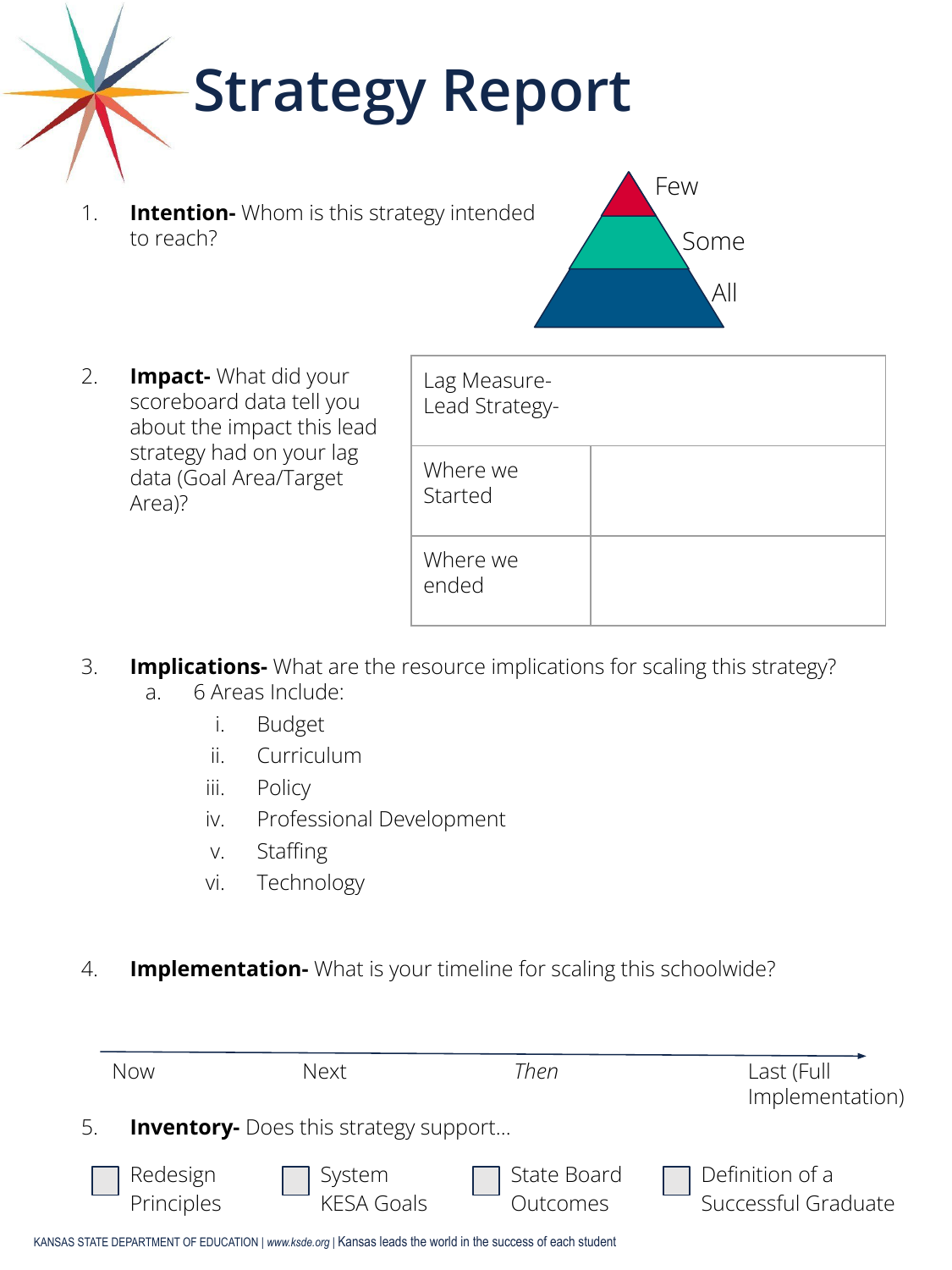# **Strategy Report**

1. **Intention-** Whom is this strategy intended to reach?



2. **Impact-** What did your scoreboard data tell you about the impact this lead strategy had on your lag data (Goal Area/Target Area)?

| Lag Measure-<br>Lead Strategy- |  |
|--------------------------------|--|
| Where we<br>Started            |  |
| Where we<br>ended              |  |

- 3. **Implications-** What are the resource implications for scaling this strategy?
	- a. 6 Areas Include:
		- i. Budget
		- ii. Curriculum
		- iii. Policy
		- iv. Professional Development
		- v. Staffing
		- vi. Technology
- 4. **Implementation-** What is your timeline for scaling this schoolwide?

|                                                    | Now                    | Next                        | Then                    | Last (Full<br>Implementation)                 |  |
|----------------------------------------------------|------------------------|-----------------------------|-------------------------|-----------------------------------------------|--|
| <b>Inventory-</b> Does this strategy support<br>5. |                        |                             |                         |                                               |  |
|                                                    | Redesign<br>Principles | System<br><b>KESA Goals</b> | State Board<br>Outcomes | $\Box$ Definition of a<br>Successful Graduate |  |

KANSAS STATE DEPARTMENT OF EDUCATION *| www.ksde.org |* Kansas leads the world in the success of each student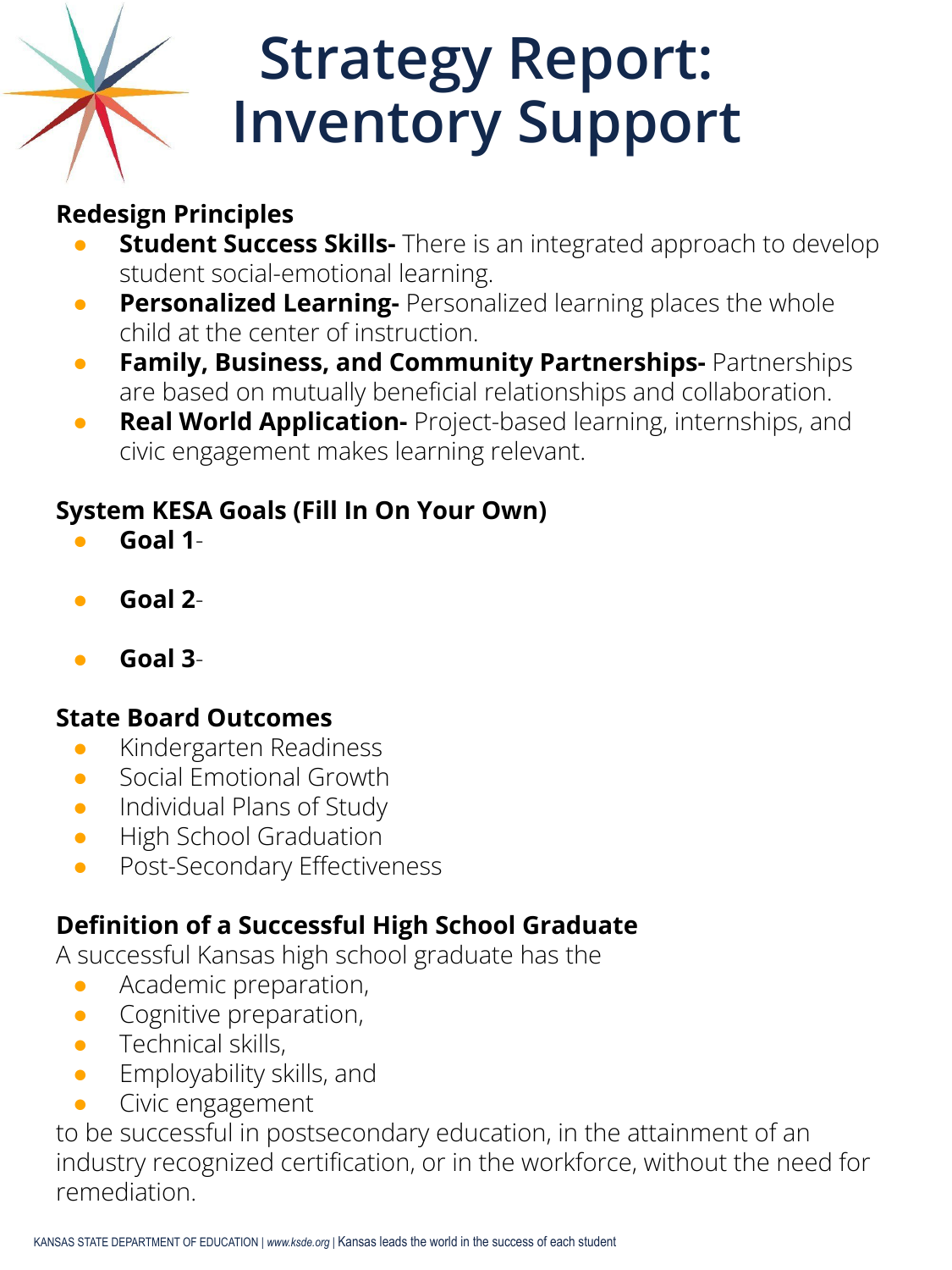# **Strategy Report: Inventory Support**

# **Redesign Principles**

- **Student Success Skills-** There is an integrated approach to develop student social-emotional learning.
- **Personalized Learning-** Personalized learning places the whole child at the center of instruction.
- **Family, Business, and Community Partnerships-** Partnerships are based on mutually beneficial relationships and collaboration.
- **Real World Application-** Project-based learning, internships, and civic engagement makes learning relevant.

# **System KESA Goals (Fill In On Your Own)**

- **Goal 1**-
- **Goal 2**-
- **Goal 3**-

#### **State Board Outcomes**

- **•** Kindergarten Readiness
- Social Emotional Growth
- **•** Individual Plans of Study
- **•** High School Graduation
- **•** Post-Secondary Effectiveness

## **Definition of a Successful High School Graduate**

A successful Kansas high school graduate has the

- Academic preparation,
- Cognitive preparation,
- **•** Technical skills,
- **•** Employability skills, and
- Civic engagement

to be successful in postsecondary education, in the attainment of an industry recognized certification, or in the workforce, without the need for remediation.